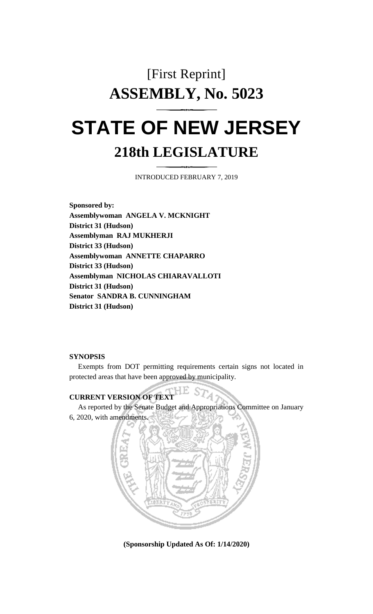# [First Reprint] **ASSEMBLY, No. 5023**

# **STATE OF NEW JERSEY 218th LEGISLATURE**

INTRODUCED FEBRUARY 7, 2019

**Sponsored by: Assemblywoman ANGELA V. MCKNIGHT District 31 (Hudson) Assemblyman RAJ MUKHERJI District 33 (Hudson) Assemblywoman ANNETTE CHAPARRO District 33 (Hudson) Assemblyman NICHOLAS CHIARAVALLOTI District 31 (Hudson) Senator SANDRA B. CUNNINGHAM District 31 (Hudson)**

#### **SYNOPSIS**

Exempts from DOT permitting requirements certain signs not located in protected areas that have been approved by municipality.

### **CURRENT VERSION OF TEXT**

As reported by the Senate Budget and Appropriations Committee on January 6, 2020, with amendments.

A



**(Sponsorship Updated As Of: 1/14/2020)**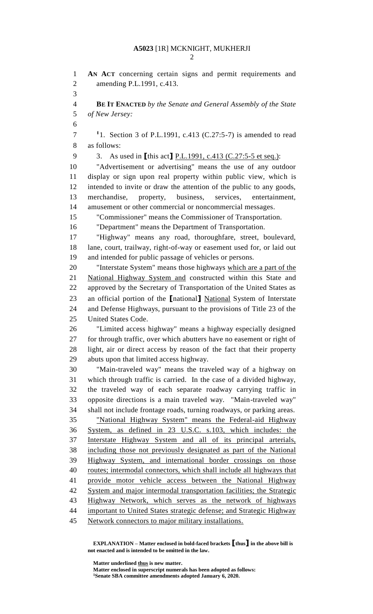## **A5023** [1R] MCKNIGHT, MUKHERJI

 **AN ACT** concerning certain signs and permit requirements and amending P.L.1991, c.413. **BE IT ENACTED** *by the Senate and General Assembly of the State of New Jersey:* 1. Section 3 of P.L.1991, c.413 (C.27:5-7) is amended to read as follows: 3. As used in **[**this act**]** P.L.1991, c.413 (C.27:5-5 et seq.): "Advertisement or advertising" means the use of any outdoor display or sign upon real property within public view, which is intended to invite or draw the attention of the public to any goods, merchandise, property, business, services, entertainment, amusement or other commercial or noncommercial messages. "Commissioner" means the Commissioner of Transportation. "Department" means the Department of Transportation. "Highway" means any road, thoroughfare, street, boulevard, lane, court, trailway, right-of-way or easement used for, or laid out and intended for public passage of vehicles or persons. "Interstate System" means those highways which are a part of the National Highway System and constructed within this State and approved by the Secretary of Transportation of the United States as an official portion of the **[**national**]** National System of Interstate and Defense Highways, pursuant to the provisions of Title 23 of the United States Code. "Limited access highway" means a highway especially designed for through traffic, over which abutters have no easement or right of light, air or direct access by reason of the fact that their property abuts upon that limited access highway. "Main-traveled way" means the traveled way of a highway on which through traffic is carried. In the case of a divided highway, the traveled way of each separate roadway carrying traffic in opposite directions is a main traveled way. "Main-traveled way" shall not include frontage roads, turning roadways, or parking areas. "National Highway System" means the Federal-aid Highway System, as defined in 23 U.S.C. s.103, which includes: the Interstate Highway System and all of its principal arterials, including those not previously designated as part of the National Highway System, and international border crossings on those routes; intermodal connectors, which shall include all highways that provide motor vehicle access between the National Highway System and major intermodal transportation facilities; the Strategic Highway Network, which serves as the network of highways important to United States strategic defense; and Strategic Highway Network connectors to major military installations.

**EXPLANATION – Matter enclosed in bold-faced brackets [thus] in the above bill is not enacted and is intended to be omitted in the law.**

**Matter underlined thus is new matter.**

**Matter enclosed in superscript numerals has been adopted as follows: Senate SBA committee amendments adopted January 6, 2020.**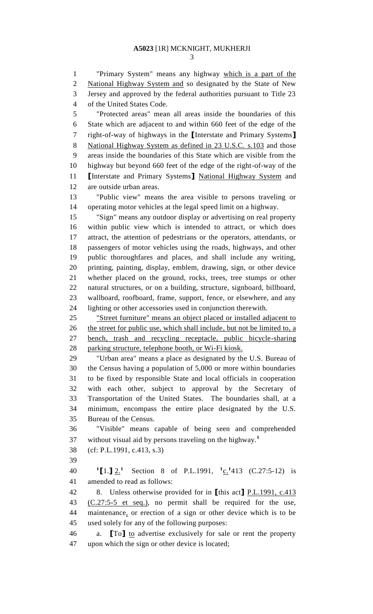"Primary System" means any highway which is a part of the National Highway System and so designated by the State of New Jersey and approved by the federal authorities pursuant to Title 23 of the United States Code.

 "Protected areas" mean all areas inside the boundaries of this State which are adjacent to and within 660 feet of the edge of the right-of-way of highways in the **[**Interstate and Primary Systems**]** National Highway System as defined in 23 U.S.C. s.103 and those areas inside the boundaries of this State which are visible from the highway but beyond 660 feet of the edge of the right-of-way of the **[**Interstate and Primary Systems**]** National Highway System and are outside urban areas.

 "Public view" means the area visible to persons traveling or operating motor vehicles at the legal speed limit on a highway.

 "Sign" means any outdoor display or advertising on real property within public view which is intended to attract, or which does attract, the attention of pedestrians or the operators, attendants, or passengers of motor vehicles using the roads, highways, and other public thoroughfares and places, and shall include any writing, printing, painting, display, emblem, drawing, sign, or other device whether placed on the ground, rocks, trees, tree stumps or other natural structures, or on a building, structure, signboard, billboard, wallboard, roofboard, frame, support, fence, or elsewhere, and any lighting or other accessories used in conjunction therewith.

 "Street furniture" means an object placed or installed adjacent to 26 the street for public use, which shall include, but not be limited to, a bench, trash and recycling receptacle, public bicycle-sharing parking structure, telephone booth, or Wi-Fi kiosk.

 "Urban area" means a place as designated by the U.S. Bureau of the Census having a population of 5,000 or more within boundaries to be fixed by responsible State and local officials in cooperation with each other, subject to approval by the Secretary of Transportation of the United States. The boundaries shall, at a minimum, encompass the entire place designated by the U.S. Bureau of the Census.

 "Visible" means capable of being seen and comprehended without visual aid by persons traveling on the highway.**<sup>1</sup>**

- (cf: P.L.1991, c.413, s.3)
- 

40 **1 [1. ]**  $\underline{2}$  **1** Section 8 of P.L.1991,  $\underline{1}$  **c.** <sup>1</sup> 413 (C.27:5-12) is amended to read as follows:

 8. Unless otherwise provided for in **[**this act**]** P.L.1991, c.413 (C.27:5-5 et seq.), no permit shall be required for the use, maintenance, or erection of a sign or other device which is to be used solely for any of the following purposes:

 a. **[**To**]** to advertise exclusively for sale or rent the property upon which the sign or other device is located;